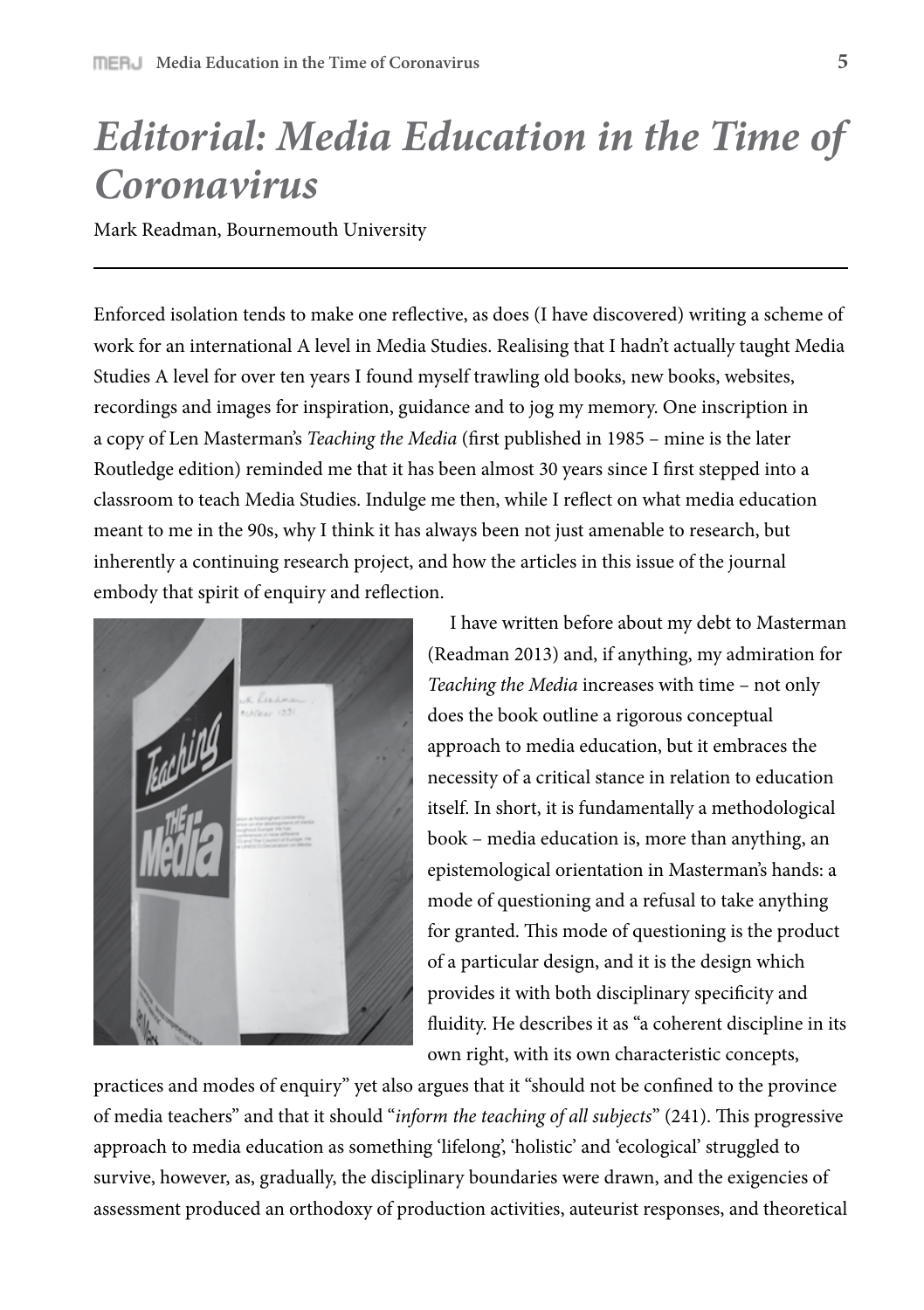## *Editorial: Media Education in the Time of Coronavirus*

Mark Readman, Bournemouth University

Enforced isolation tends to make one reflective, as does (I have discovered) writing a scheme of work for an international A level in Media Studies. Realising that I hadn't actually taught Media Studies A level for over ten years I found myself trawling old books, new books, websites, recordings and images for inspiration, guidance and to jog my memory. One inscription in a copy of Len Masterman's *Teaching the Media* (first published in 1985 – mine is the later Routledge edition) reminded me that it has been almost 30 years since I first stepped into a classroom to teach Media Studies. Indulge me then, while I reflect on what media education meant to me in the 90s, why I think it has always been not just amenable to research, but inherently a continuing research project, and how the articles in this issue of the journal embody that spirit of enquiry and reflection.



 I have written before about my debt to Masterman (Readman 2013) and, if anything, my admiration for *Teaching the Media* increases with time – not only does the book outline a rigorous conceptual approach to media education, but it embraces the necessity of a critical stance in relation to education itself. In short, it is fundamentally a methodological book – media education is, more than anything, an epistemological orientation in Masterman's hands: a mode of questioning and a refusal to take anything for granted. This mode of questioning is the product of a particular design, and it is the design which provides it with both disciplinary specificity and fluidity. He describes it as "a coherent discipline in its own right, with its own characteristic concepts,

practices and modes of enquiry" yet also argues that it "should not be confined to the province" of media teachers" and that it should "*inform the teaching of all subjects*" (241). This progressive approach to media education as something 'lifelong', 'holistic' and 'ecological' struggled to survive, however, as, gradually, the disciplinary boundaries were drawn, and the exigencies of assessment produced an orthodoxy of production activities, auteurist responses, and theoretical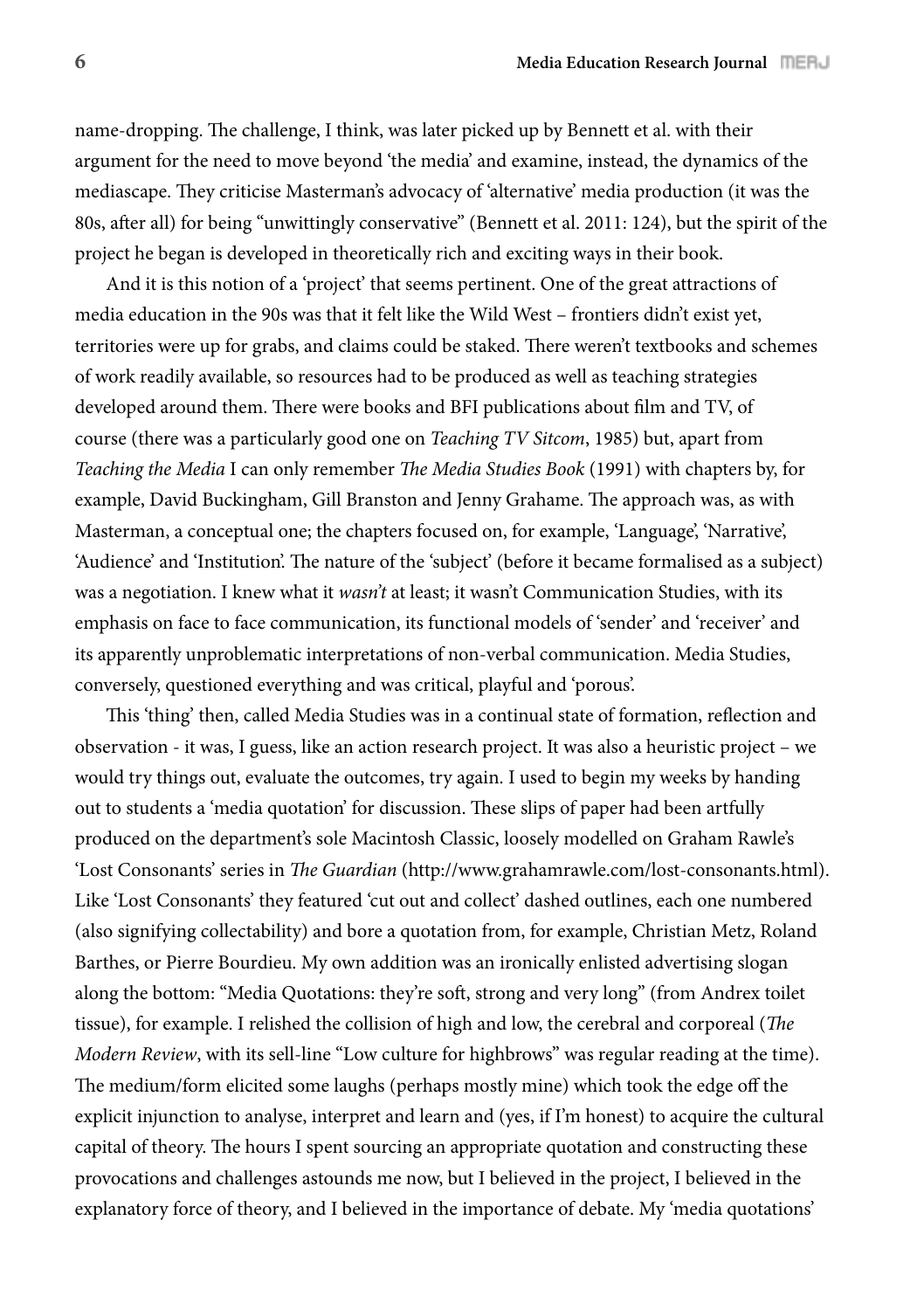name-dropping. The challenge, I think, was later picked up by Bennett et al. with their argument for the need to move beyond 'the media' and examine, instead, the dynamics of the mediascape. They criticise Masterman's advocacy of 'alternative' media production (it was the 80s, after all) for being "unwittingly conservative" (Bennett et al. 2011: 124), but the spirit of the project he began is developed in theoretically rich and exciting ways in their book.

And it is this notion of a 'project' that seems pertinent. One of the great attractions of media education in the 90s was that it felt like the Wild West – frontiers didn't exist yet, territories were up for grabs, and claims could be staked. There weren't textbooks and schemes of work readily available, so resources had to be produced as well as teaching strategies developed around them. There were books and BFI publications about film and TV, of course (there was a particularly good one on *Teaching TV Sitcom*, 1985) but, apart from *Teaching the Media* I can only remember *The Media Studies Book* (1991) with chapters by, for example, David Buckingham, Gill Branston and Jenny Grahame. The approach was, as with Masterman, a conceptual one; the chapters focused on, for example, 'Language', 'Narrative', 'Audience' and 'Institution'. The nature of the 'subject' (before it became formalised as a subject) was a negotiation. I knew what it *wasn't* at least; it wasn't Communication Studies, with its emphasis on face to face communication, its functional models of 'sender' and 'receiver' and its apparently unproblematic interpretations of non-verbal communication. Media Studies, conversely, questioned everything and was critical, playful and 'porous'.

This 'thing' then, called Media Studies was in a continual state of formation, reflection and observation - it was, I guess, like an action research project. It was also a heuristic project – we would try things out, evaluate the outcomes, try again. I used to begin my weeks by handing out to students a 'media quotation' for discussion. These slips of paper had been artfully produced on the department's sole Macintosh Classic, loosely modelled on Graham Rawle's 'Lost Consonants' series in *The Guardian* (http://www.grahamrawle.com/lost-consonants.html). Like 'Lost Consonants' they featured 'cut out and collect' dashed outlines, each one numbered (also signifying collectability) and bore a quotation from, for example, Christian Metz, Roland Barthes, or Pierre Bourdieu. My own addition was an ironically enlisted advertising slogan along the bottom: "Media Quotations: they're soft, strong and very long" (from Andrex toilet tissue), for example. I relished the collision of high and low, the cerebral and corporeal (*The Modern Review*, with its sell-line "Low culture for highbrows" was regular reading at the time). The medium/form elicited some laughs (perhaps mostly mine) which took the edge off the explicit injunction to analyse, interpret and learn and (yes, if I'm honest) to acquire the cultural capital of theory. The hours I spent sourcing an appropriate quotation and constructing these provocations and challenges astounds me now, but I believed in the project, I believed in the explanatory force of theory, and I believed in the importance of debate. My 'media quotations'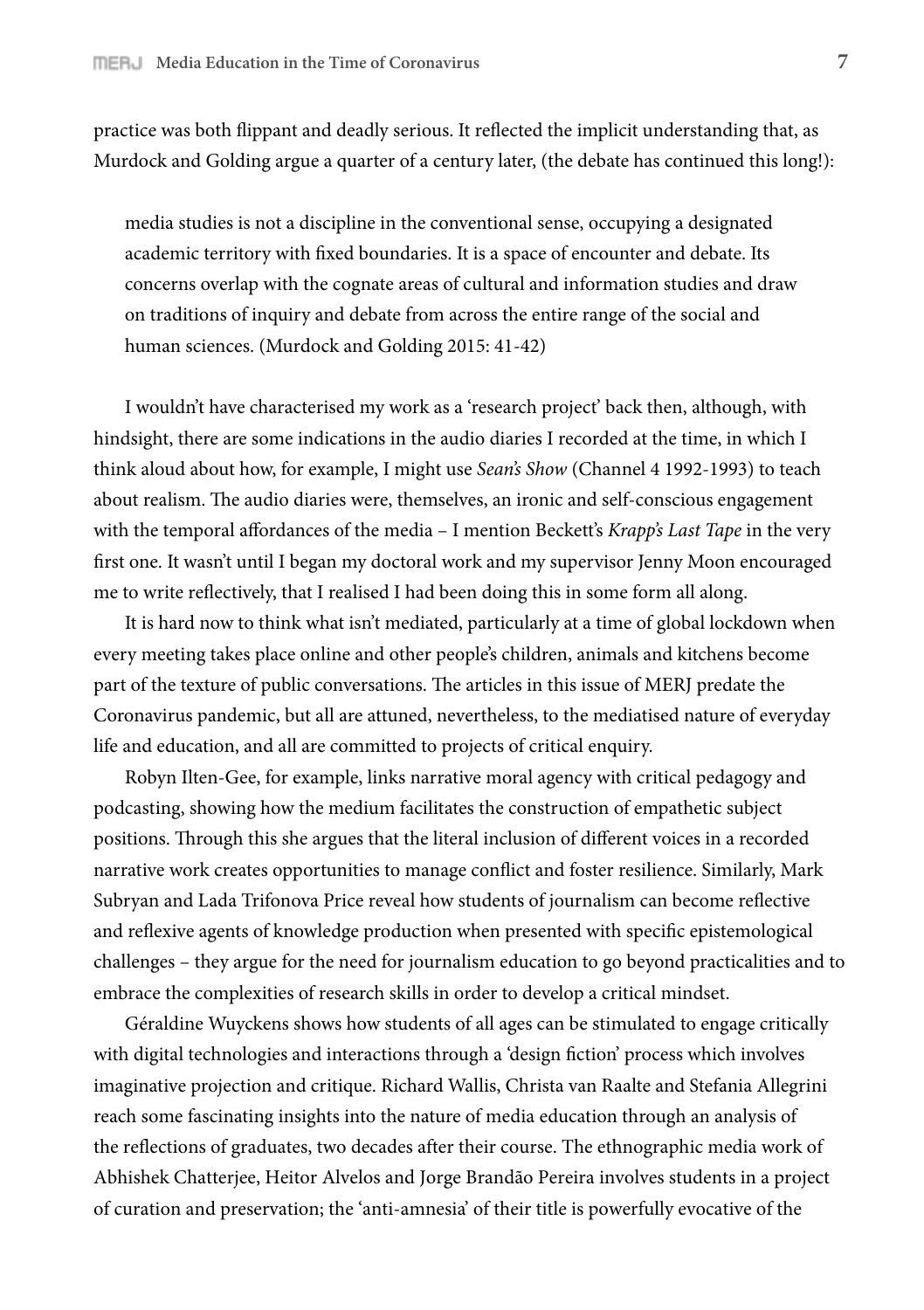practice was both flippant and deadly serious. It reflected the implicit understanding that, as Murdock and Golding argue a quarter of a century later, (the debate has continued this long!):

media studies is not a discipline in the conventional sense, occupying a designated academic territory with fixed boundaries. It is a space of encounter and debate. Its concerns overlap with the cognate areas of cultural and information studies and draw on traditions of inquiry and debate from across the entire range of the social and human sciences. (Murdock and Golding 2015: 41-42)

I wouldn't have characterised my work as a 'research project' back then, although, with hindsight, there are some indications in the audio diaries I recorded at the time, in which I think aloud about how, for example, I might use *Sean's Show* (Channel 4 1992-1993) to teach about realism. The audio diaries were, themselves, an ironic and self-conscious engagement with the temporal affordances of the media – I mention Beckett's *Krapp's Last Tape* in the very first one. It wasn't until I began my doctoral work and my supervisor Jenny Moon encouraged me to write reflectively, that I realised I had been doing this in some form all along.

It is hard now to think what isn't mediated, particularly at a time of global lockdown when every meeting takes place online and other people's children, animals and kitchens become part of the texture of public conversations. The articles in this issue of MERJ predate the Coronavirus pandemic, but all are attuned, nevertheless, to the mediatised nature of everyday life and education, and all are committed to projects of critical enquiry.

Robyn Ilten-Gee, for example, links narrative moral agency with critical pedagogy and podcasting, showing how the medium facilitates the construction of empathetic subject positions. Through this she argues that the literal inclusion of different voices in a recorded narrative work creates opportunities to manage conflict and foster resilience. Similarly, Mark Subryan and Lada Trifonova Price reveal how students of journalism can become reflective and reflexive agents of knowledge production when presented with specific epistemological challenges – they argue for the need for journalism education to go beyond practicalities and to embrace the complexities of research skills in order to develop a critical mindset.

Géraldine Wuyckens shows how students of all ages can be stimulated to engage critically with digital technologies and interactions through a 'design fiction' process which involves imaginative projection and critique. Richard Wallis, Christa van Raalte and Stefania Allegrini reach some fascinating insights into the nature of media education through an analysis of the reflections of graduates, two decades after their course. The ethnographic media work of Abhishek Chatterjee, Heitor Alvelos and Jorge Brandão Pereira involves students in a project of curation and preservation; the 'anti-amnesia' of their title is powerfully evocative of the